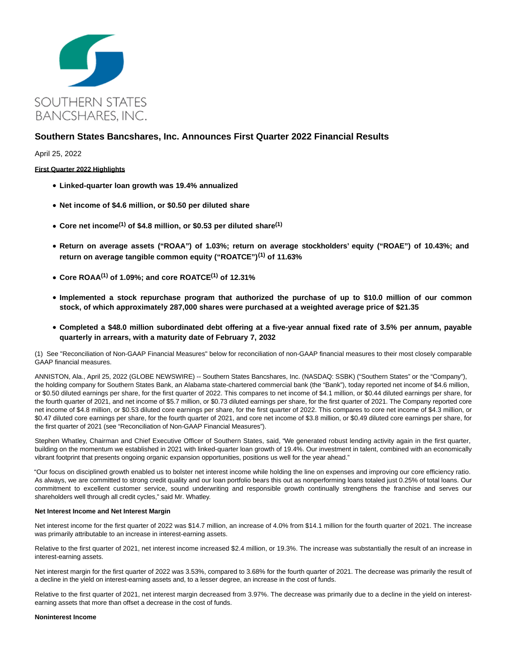

# **Southern States Bancshares, Inc. Announces First Quarter 2022 Financial Results**

April 25, 2022

## **First Quarter 2022 Highlights**

- **Linked-quarter loan growth was 19.4% annualized**
- **Net income of \$4.6 million, or \$0.50 per diluted share**
- **Core net income(1) of \$4.8 million, or \$0.53 per diluted share(1)**
- **Return on average assets ("ROAA") of 1.03%; return on average stockholders' equity ("ROAE") of 10.43%; and return on average tangible common equity ("ROATCE")(1) of 11.63%**
- **Core ROAA(1) of 1.09%; and core ROATCE(1) of 12.31%**
- **Implemented a stock repurchase program that authorized the purchase of up to \$10.0 million of our common stock, of which approximately 287,000 shares were purchased at a weighted average price of \$21.35**
- **Completed a \$48.0 million subordinated debt offering at a five-year annual fixed rate of 3.5% per annum, payable quarterly in arrears, with a maturity date of February 7, 2032**

(1) See "Reconciliation of Non-GAAP Financial Measures" below for reconciliation of non-GAAP financial measures to their most closely comparable GAAP financial measures.

ANNISTON, Ala., April 25, 2022 (GLOBE NEWSWIRE) -- Southern States Bancshares, Inc. (NASDAQ: SSBK) ("Southern States" or the "Company"), the holding company for Southern States Bank, an Alabama state-chartered commercial bank (the "Bank"), today reported net income of \$4.6 million, or \$0.50 diluted earnings per share, for the first quarter of 2022. This compares to net income of \$4.1 million, or \$0.44 diluted earnings per share, for the fourth quarter of 2021, and net income of \$5.7 million, or \$0.73 diluted earnings per share, for the first quarter of 2021. The Company reported core net income of \$4.8 million, or \$0.53 diluted core earnings per share, for the first quarter of 2022. This compares to core net income of \$4.3 million, or \$0.47 diluted core earnings per share, for the fourth quarter of 2021, and core net income of \$3.8 million, or \$0.49 diluted core earnings per share, for the first quarter of 2021 (see "Reconciliation of Non-GAAP Financial Measures").

Stephen Whatley, Chairman and Chief Executive Officer of Southern States, said, "We generated robust lending activity again in the first quarter, building on the momentum we established in 2021 with linked-quarter loan growth of 19.4%. Our investment in talent, combined with an economically vibrant footprint that presents ongoing organic expansion opportunities, positions us well for the year ahead."

"Our focus on disciplined growth enabled us to bolster net interest income while holding the line on expenses and improving our core efficiency ratio. As always, we are committed to strong credit quality and our loan portfolio bears this out as nonperforming loans totaled just 0.25% of total loans. Our commitment to excellent customer service, sound underwriting and responsible growth continually strengthens the franchise and serves our shareholders well through all credit cycles," said Mr. Whatley.

#### **Net Interest Income and Net Interest Margin**

Net interest income for the first quarter of 2022 was \$14.7 million, an increase of 4.0% from \$14.1 million for the fourth quarter of 2021. The increase was primarily attributable to an increase in interest-earning assets.

Relative to the first quarter of 2021, net interest income increased \$2.4 million, or 19.3%. The increase was substantially the result of an increase in interest-earning assets.

Net interest margin for the first quarter of 2022 was 3.53%, compared to 3.68% for the fourth quarter of 2021. The decrease was primarily the result of a decline in the yield on interest-earning assets and, to a lesser degree, an increase in the cost of funds.

Relative to the first quarter of 2021, net interest margin decreased from 3.97%. The decrease was primarily due to a decline in the yield on interestearning assets that more than offset a decrease in the cost of funds.

## **Noninterest Income**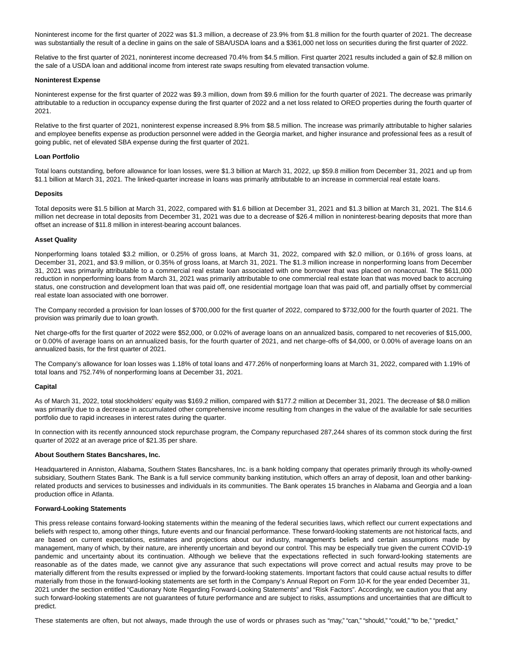Noninterest income for the first quarter of 2022 was \$1.3 million, a decrease of 23.9% from \$1.8 million for the fourth quarter of 2021. The decrease was substantially the result of a decline in gains on the sale of SBA/USDA loans and a \$361,000 net loss on securities during the first quarter of 2022.

Relative to the first quarter of 2021, noninterest income decreased 70.4% from \$4.5 million. First quarter 2021 results included a gain of \$2.8 million on the sale of a USDA loan and additional income from interest rate swaps resulting from elevated transaction volume.

#### **Noninterest Expense**

Noninterest expense for the first quarter of 2022 was \$9.3 million, down from \$9.6 million for the fourth quarter of 2021. The decrease was primarily attributable to a reduction in occupancy expense during the first quarter of 2022 and a net loss related to OREO properties during the fourth quarter of 2021.

Relative to the first quarter of 2021, noninterest expense increased 8.9% from \$8.5 million. The increase was primarily attributable to higher salaries and employee benefits expense as production personnel were added in the Georgia market, and higher insurance and professional fees as a result of going public, net of elevated SBA expense during the first quarter of 2021.

## **Loan Portfolio**

Total loans outstanding, before allowance for loan losses, were \$1.3 billion at March 31, 2022, up \$59.8 million from December 31, 2021 and up from \$1.1 billion at March 31, 2021. The linked-quarter increase in loans was primarily attributable to an increase in commercial real estate loans.

## **Deposits**

Total deposits were \$1.5 billion at March 31, 2022, compared with \$1.6 billion at December 31, 2021 and \$1.3 billion at March 31, 2021. The \$14.6 million net decrease in total deposits from December 31, 2021 was due to a decrease of \$26.4 million in noninterest-bearing deposits that more than offset an increase of \$11.8 million in interest-bearing account balances.

## **Asset Quality**

Nonperforming loans totaled \$3.2 million, or 0.25% of gross loans, at March 31, 2022, compared with \$2.0 million, or 0.16% of gross loans, at December 31, 2021, and \$3.9 million, or 0.35% of gross loans, at March 31, 2021. The \$1.3 million increase in nonperforming loans from December 31, 2021 was primarily attributable to a commercial real estate loan associated with one borrower that was placed on nonaccrual. The \$611,000 reduction in nonperforming loans from March 31, 2021 was primarily attributable to one commercial real estate loan that was moved back to accruing status, one construction and development loan that was paid off, one residential mortgage loan that was paid off, and partially offset by commercial real estate loan associated with one borrower.

The Company recorded a provision for loan losses of \$700,000 for the first quarter of 2022, compared to \$732,000 for the fourth quarter of 2021. The provision was primarily due to loan growth.

Net charge-offs for the first quarter of 2022 were \$52,000, or 0.02% of average loans on an annualized basis, compared to net recoveries of \$15,000, or 0.00% of average loans on an annualized basis, for the fourth quarter of 2021, and net charge-offs of \$4,000, or 0.00% of average loans on an annualized basis, for the first quarter of 2021.

The Company's allowance for loan losses was 1.18% of total loans and 477.26% of nonperforming loans at March 31, 2022, compared with 1.19% of total loans and 752.74% of nonperforming loans at December 31, 2021.

## **Capital**

As of March 31, 2022, total stockholders' equity was \$169.2 million, compared with \$177.2 million at December 31, 2021. The decrease of \$8.0 million was primarily due to a decrease in accumulated other comprehensive income resulting from changes in the value of the available for sale securities portfolio due to rapid increases in interest rates during the quarter.

In connection with its recently announced stock repurchase program, the Company repurchased 287,244 shares of its common stock during the first quarter of 2022 at an average price of \$21.35 per share.

#### **About Southern States Bancshares, Inc.**

Headquartered in Anniston, Alabama, Southern States Bancshares, Inc. is a bank holding company that operates primarily through its wholly-owned subsidiary, Southern States Bank. The Bank is a full service community banking institution, which offers an array of deposit, loan and other bankingrelated products and services to businesses and individuals in its communities. The Bank operates 15 branches in Alabama and Georgia and a loan production office in Atlanta.

#### **Forward-Looking Statements**

This press release contains forward-looking statements within the meaning of the federal securities laws, which reflect our current expectations and beliefs with respect to, among other things, future events and our financial performance. These forward-looking statements are not historical facts, and are based on current expectations, estimates and projections about our industry, management's beliefs and certain assumptions made by management, many of which, by their nature, are inherently uncertain and beyond our control. This may be especially true given the current COVID-19 pandemic and uncertainty about its continuation. Although we believe that the expectations reflected in such forward-looking statements are reasonable as of the dates made, we cannot give any assurance that such expectations will prove correct and actual results may prove to be materially different from the results expressed or implied by the forward-looking statements. Important factors that could cause actual results to differ materially from those in the forward-looking statements are set forth in the Company's Annual Report on Form 10-K for the year ended December 31, 2021 under the section entitled "Cautionary Note Regarding Forward-Looking Statements" and "Risk Factors". Accordingly, we caution you that any such forward-looking statements are not guarantees of future performance and are subject to risks, assumptions and uncertainties that are difficult to predict.

These statements are often, but not always, made through the use of words or phrases such as "may," "can," "should," "could," "to be," "predict,"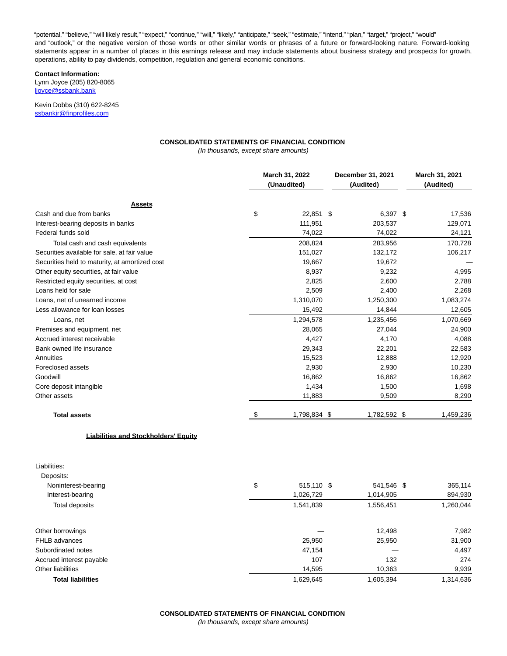"potential," "believe," "will likely result," "expect," "continue," "will," "likely," "anticipate," "seek," "estimate," "intend," "plan," "target," "project," "would" and "outlook," or the negative version of those words or other similar words or phrases of a future or forward-looking nature. Forward-looking statements appear in a number of places in this earnings release and may include statements about business strategy and prospects for growth, operations, ability to pay dividends, competition, regulation and general economic conditions.

## **Contact Information:**

Lynn Joyce (205) 820-8065 [ljoyce@ssbank.bank](https://www.globenewswire.com/Tracker?data=l91llNMsGUJUgm7WIZEZyhUXD09uHW1s0Or5aX0SljznuD73jnRpTvmAkJbyV6CBg0q3O2UpXAvLeZ4OcrSRZvYoVVNWAhkvj3tf2ztWHtQ=)

Kevin Dobbs (310) 622-8245 [ssbankir@finprofiles.com](https://www.globenewswire.com/Tracker?data=B_h6MLQKiHVPXgz3QrWnlftKunu2-lnUY-jMIid4-oGxZbZqL3uGoLpBUnkvf2m0JFd30TfE7uC-wGRIwdOPgsHieR8ejOMQZpKsIS_aNDg=)

## **CONSOLIDATED STATEMENTS OF FINANCIAL CONDITION**

(In thousands, except share amounts)

|                                                | March 31, 2022<br>(Unaudited) |              | December 31, 2021<br>(Audited) | March 31, 2021<br>(Audited) |           |
|------------------------------------------------|-------------------------------|--------------|--------------------------------|-----------------------------|-----------|
| <b>Assets</b>                                  |                               |              |                                |                             |           |
| Cash and due from banks                        | \$                            | 22,851 \$    |                                | 6,397 \$                    | 17,536    |
| Interest-bearing deposits in banks             |                               | 111,951      |                                | 203,537                     | 129,071   |
| Federal funds sold                             |                               | 74,022       |                                | 74,022                      | 24,121    |
| Total cash and cash equivalents                |                               | 208,824      |                                | 283,956                     | 170,728   |
| Securities available for sale, at fair value   |                               | 151,027      |                                | 132,172                     | 106,217   |
| Securities held to maturity, at amortized cost |                               | 19,667       |                                | 19,672                      |           |
| Other equity securities, at fair value         |                               | 8,937        |                                | 9,232                       | 4,995     |
| Restricted equity securities, at cost          |                               | 2,825        |                                | 2,600                       | 2,788     |
| Loans held for sale                            |                               | 2,509        |                                | 2,400                       | 2,268     |
| Loans, net of unearned income                  |                               | 1,310,070    |                                | 1,250,300                   | 1,083,274 |
| Less allowance for loan losses                 |                               | 15,492       |                                | 14,844                      | 12,605    |
| Loans, net                                     |                               | 1,294,578    |                                | 1,235,456                   | 1,070,669 |
| Premises and equipment, net                    |                               | 28,065       |                                | 27,044                      | 24,900    |
| Accrued interest receivable                    |                               | 4,427        |                                | 4,170                       | 4,088     |
| Bank owned life insurance                      |                               | 29,343       |                                | 22,201                      | 22,583    |
| Annuities                                      |                               | 15,523       |                                | 12,888                      | 12,920    |
| Foreclosed assets                              |                               | 2,930        |                                | 2,930                       | 10,230    |
| Goodwill                                       |                               | 16,862       |                                | 16,862                      | 16,862    |
| Core deposit intangible                        |                               | 1,434        |                                | 1,500                       | 1,698     |
| Other assets                                   |                               | 11,883       |                                | 9,509                       | 8,290     |
| <b>Total assets</b>                            |                               | 1,798,834 \$ |                                | 1,782,592 \$                | 1,459,236 |
| <b>Liabilities and Stockholders' Equity</b>    |                               |              |                                |                             |           |

| Liabilities:<br>Deposits: |                  |            |           |
|---------------------------|------------------|------------|-----------|
| Noninterest-bearing       | \$<br>515,110 \$ | 541.546 \$ | 365,114   |
| Interest-bearing          | 1,026,729        | 1,014,905  | 894,930   |
| Total deposits            | 1,541,839        | 1,556,451  | 1,260,044 |
| Other borrowings          |                  | 12,498     | 7,982     |
| FHLB advances             | 25,950           | 25,950     | 31,900    |
| Subordinated notes        | 47.154           |            | 4,497     |
| Accrued interest payable  | 107              | 132        | 274       |
| Other liabilities         | 14,595           | 10,363     | 9,939     |
| <b>Total liabilities</b>  | 1,629,645        | 1,605,394  | 1,314,636 |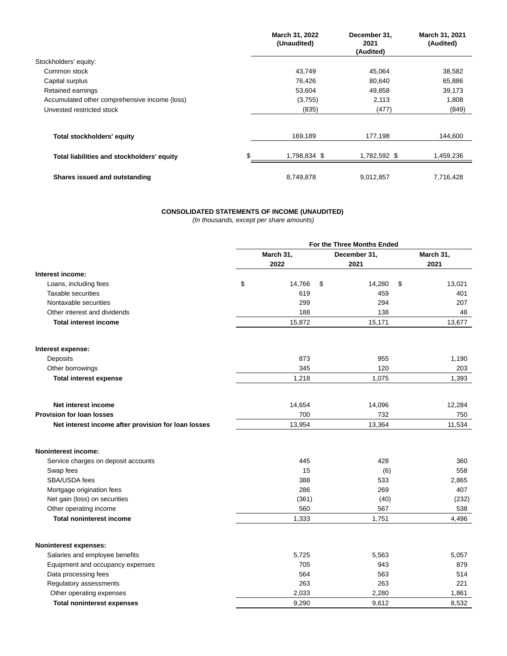|                                               | March 31, 2022<br>(Unaudited) | December 31,<br>2021<br>(Audited) | March 31, 2021<br>(Audited) |
|-----------------------------------------------|-------------------------------|-----------------------------------|-----------------------------|
| Stockholders' equity:                         |                               |                                   |                             |
| Common stock                                  | 43,749                        | 45,064                            | 38,582                      |
| Capital surplus                               | 76,426                        | 80,640                            | 65,886                      |
| Retained earnings                             | 53,604                        | 49,858                            | 39,173                      |
| Accumulated other comprehensive income (loss) | (3,755)                       | 2,113                             | 1,808                       |
| Unvested restricted stock                     | (835)                         | (477)                             | (849)                       |
|                                               |                               |                                   |                             |
| <b>Total stockholders' equity</b>             | 169,189                       | 177,198                           | 144,600                     |
| Total liabilities and stockholders' equity    | 1,798,834 \$                  | 1,782,592 \$                      | 1,459,236                   |
| Shares issued and outstanding                 | 8,749,878                     | 9,012,857                         | 7,716,428                   |

## **CONSOLIDATED STATEMENTS OF INCOME (UNAUDITED)**

(In thousands, except per share amounts)

|                                                     | For the Three Months Ended |           |    |              |    |           |  |
|-----------------------------------------------------|----------------------------|-----------|----|--------------|----|-----------|--|
|                                                     |                            | March 31, |    | December 31, |    | March 31, |  |
|                                                     |                            | 2022      |    | 2021         |    | 2021      |  |
| Interest income:                                    |                            |           |    |              |    |           |  |
| Loans, including fees                               | \$                         | 14,766    | \$ | 14,280       | \$ | 13,021    |  |
| Taxable securities                                  |                            | 619       |    | 459          |    | 401       |  |
| Nontaxable securities                               |                            | 299       |    | 294          |    | 207       |  |
| Other interest and dividends                        |                            | 188       |    | 138          |    | 48        |  |
| <b>Total interest income</b>                        |                            | 15,872    |    | 15,171       |    | 13,677    |  |
| Interest expense:                                   |                            |           |    |              |    |           |  |
| Deposits                                            |                            | 873       |    | 955          |    | 1,190     |  |
| Other borrowings                                    |                            | 345       |    | 120          |    | 203       |  |
| <b>Total interest expense</b>                       |                            | 1,218     |    | 1,075        |    | 1,393     |  |
| Net interest income                                 |                            | 14,654    |    | 14,096       |    | 12,284    |  |
| <b>Provision for loan losses</b>                    |                            | 700       |    | 732          |    | 750       |  |
| Net interest income after provision for loan losses |                            | 13,954    |    | 13,364       |    | 11,534    |  |
| <b>Noninterest income:</b>                          |                            |           |    |              |    |           |  |
| Service charges on deposit accounts                 |                            | 445       |    | 428          |    | 360       |  |
| Swap fees                                           |                            | 15        |    | (6)          |    | 558       |  |
| SBA/USDA fees                                       |                            | 388       |    | 533          |    | 2,865     |  |
| Mortgage origination fees                           |                            | 286       |    | 269          |    | 407       |  |
| Net gain (loss) on securities                       |                            | (361)     |    | (40)         |    | (232)     |  |
| Other operating income                              |                            | 560       |    | 567          |    | 538       |  |
| <b>Total noninterest income</b>                     |                            | 1,333     |    | 1,751        |    | 4,496     |  |
| Noninterest expenses:                               |                            |           |    |              |    |           |  |
| Salaries and employee benefits                      |                            | 5,725     |    | 5,563        |    | 5,057     |  |
| Equipment and occupancy expenses                    |                            | 705       |    | 943          |    | 879       |  |
| Data processing fees                                |                            | 564       |    | 563          |    | 514       |  |
| Regulatory assessments                              |                            | 263       |    | 263          |    | 221       |  |
| Other operating expenses                            |                            | 2,033     |    | 2,280        |    | 1,861     |  |
| <b>Total noninterest expenses</b>                   |                            | 9,290     |    | 9,612        |    | 8,532     |  |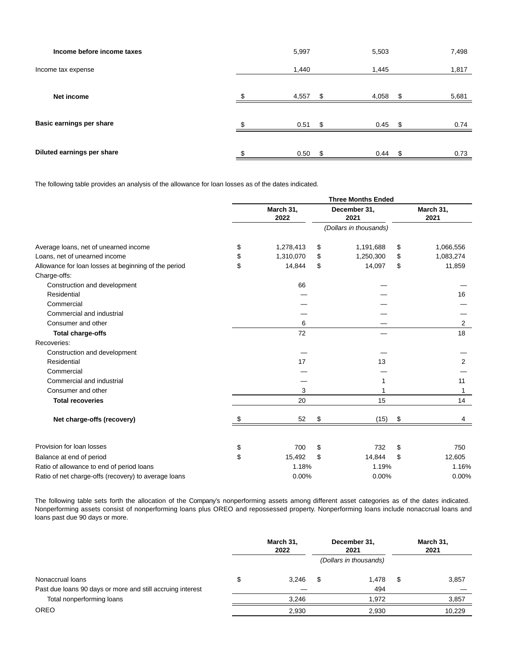| Income before income taxes | 5,997 |     | 5,503     |   | 7,498 |
|----------------------------|-------|-----|-----------|---|-------|
| Income tax expense         | 1,440 |     | 1,445     |   | 1,817 |
| Net income                 | 4,557 | S   | 4,058     | S | 5,681 |
| Basic earnings per share   | 0.51  | \$. | $0.45$ \$ |   | 0.74  |
|                            |       |     |           |   |       |
| Diluted earnings per share | 0.50  | -\$ | $0.44$ \$ |   | 0.73  |

The following table provides an analysis of the allowance for loan losses as of the dates indicated.

|                                                      | <b>Three Months Ended</b> |                   |    |                        |    |                   |  |  |
|------------------------------------------------------|---------------------------|-------------------|----|------------------------|----|-------------------|--|--|
|                                                      |                           | March 31,<br>2022 |    | December 31,<br>2021   |    | March 31,<br>2021 |  |  |
|                                                      |                           |                   |    | (Dollars in thousands) |    |                   |  |  |
| Average loans, net of unearned income                | \$                        | 1,278,413         | \$ | 1,191,688              | \$ | 1,066,556         |  |  |
| Loans, net of unearned income                        | \$                        | 1,310,070         | \$ | 1,250,300              | \$ | 1,083,274         |  |  |
| Allowance for loan losses at beginning of the period | \$                        | 14,844            | \$ | 14,097                 | \$ | 11,859            |  |  |
| Charge-offs:                                         |                           |                   |    |                        |    |                   |  |  |
| Construction and development                         |                           | 66                |    |                        |    |                   |  |  |
| Residential                                          |                           |                   |    |                        |    | 16                |  |  |
| Commercial                                           |                           |                   |    |                        |    |                   |  |  |
| Commercial and industrial                            |                           |                   |    |                        |    |                   |  |  |
| Consumer and other                                   |                           | 6                 |    |                        |    | 2                 |  |  |
| <b>Total charge-offs</b>                             |                           | 72                |    |                        |    | 18                |  |  |
| Recoveries:                                          |                           |                   |    |                        |    |                   |  |  |
| Construction and development                         |                           |                   |    |                        |    |                   |  |  |
| Residential                                          |                           | 17                |    | 13                     |    | 2                 |  |  |
| Commercial                                           |                           |                   |    |                        |    |                   |  |  |
| Commercial and industrial                            |                           |                   |    |                        |    | 11                |  |  |
| Consumer and other                                   |                           | 3                 |    |                        |    | 1                 |  |  |
| <b>Total recoveries</b>                              |                           | 20                |    | 15                     |    | 14                |  |  |
| Net charge-offs (recovery)                           | S                         | 52                | \$ | (15)                   | \$ | 4                 |  |  |
| Provision for loan losses                            | \$                        | 700               | \$ | 732                    | \$ | 750               |  |  |
| Balance at end of period                             | \$                        | 15,492            | \$ | 14,844                 | \$ | 12,605            |  |  |
| Ratio of allowance to end of period loans            |                           | 1.18%             |    | 1.19%                  |    | 1.16%             |  |  |
| Ratio of net charge-offs (recovery) to average loans |                           | 0.00%             |    | 0.00%                  |    | 0.00%             |  |  |

The following table sets forth the allocation of the Company's nonperforming assets among different asset categories as of the dates indicated. Nonperforming assets consist of nonperforming loans plus OREO and repossessed property. Nonperforming loans include nonaccrual loans and loans past due 90 days or more.

|                                                            | March 31,<br>2022 |       | December 31,<br>2021   | March 31,<br>2021 |        |  |
|------------------------------------------------------------|-------------------|-------|------------------------|-------------------|--------|--|
|                                                            |                   |       | (Dollars in thousands) |                   |        |  |
| Nonaccrual loans                                           | S                 | 3.246 | \$<br>1.478            | \$                | 3,857  |  |
| Past due loans 90 days or more and still accruing interest |                   |       | 494                    |                   |        |  |
| Total nonperforming loans                                  |                   | 3.246 | 1.972                  |                   | 3,857  |  |
| <b>OREO</b>                                                |                   | 2,930 | 2,930                  |                   | 10,229 |  |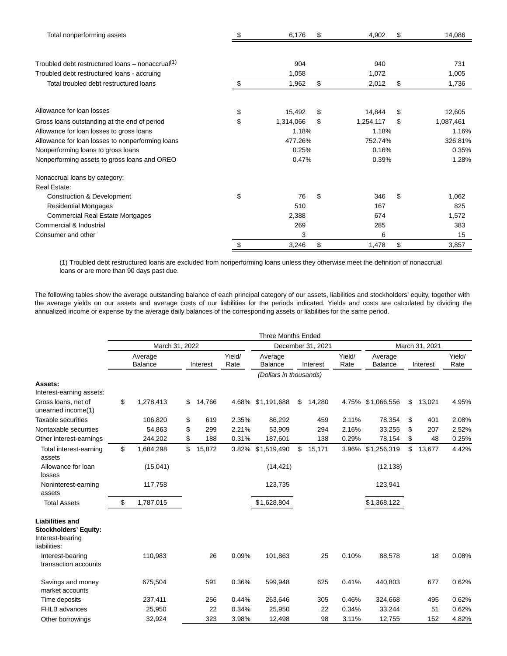| Total nonperforming assets                          |          | 6,176     | S        | 4,902              | S        | 14,086    |
|-----------------------------------------------------|----------|-----------|----------|--------------------|----------|-----------|
|                                                     |          |           |          |                    |          |           |
| Troubled debt restructured loans – nonaccrual $(1)$ |          | 904       |          | 940                |          | 731       |
| Troubled debt restructured loans - accruing         |          | 1,058     |          | 1,072              |          | 1,005     |
| Total troubled debt restructured loans              | \$       | 1,962     | \$       | 2,012              | \$       | 1,736     |
| Allowance for loan losses                           |          |           |          |                    |          |           |
|                                                     | \$<br>\$ | 15,492    | \$<br>\$ | 14,844             | \$<br>\$ | 12,605    |
| Gross loans outstanding at the end of period        |          | 1,314,066 |          | 1,254,117<br>1.18% |          | 1,087,461 |
| Allowance for loan losses to gross loans            |          | 1.18%     |          |                    |          | 1.16%     |
| Allowance for loan losses to nonperforming loans    |          | 477.26%   |          | 752.74%            |          | 326.81%   |
| Nonperforming loans to gross loans                  |          | 0.25%     |          | 0.16%              |          | 0.35%     |
| Nonperforming assets to gross loans and OREO        |          | 0.47%     |          | 0.39%              |          | 1.28%     |
| Nonaccrual loans by category:                       |          |           |          |                    |          |           |
| Real Estate:                                        |          |           |          |                    |          |           |
| <b>Construction &amp; Development</b>               | \$       | 76        | \$       | 346                | \$       | 1,062     |
| <b>Residential Mortgages</b>                        |          | 510       |          | 167                |          | 825       |
| <b>Commercial Real Estate Mortgages</b>             |          | 2,388     |          | 674                |          | 1,572     |
| Commercial & Industrial                             |          | 269       |          | 285                |          | 383       |
| Consumer and other                                  |          | 3         |          | 6                  |          | 15        |
|                                                     | \$       | 3,246     | \$       | 1,478              | \$       | 3,857     |

(1) Troubled debt restructured loans are excluded from nonperforming loans unless they otherwise meet the definition of nonaccrual loans or are more than 90 days past due.

The following tables show the average outstanding balance of each principal category of our assets, liabilities and stockholders' equity, together with the average yields on our assets and average costs of our liabilities for the periods indicated. Yields and costs are calculated by dividing the annualized income or expense by the average daily balances of the corresponding assets or liabilities for the same period.

|                                                                                            |                    |              |                | <b>Three Months Ended</b> |                   |                |                    |                |                |
|--------------------------------------------------------------------------------------------|--------------------|--------------|----------------|---------------------------|-------------------|----------------|--------------------|----------------|----------------|
|                                                                                            | March 31, 2022     |              |                |                           | December 31, 2021 |                |                    | March 31, 2021 |                |
|                                                                                            | Average<br>Balance | Interest     | Yield/<br>Rate | Average<br>Balance        | Interest          | Yield/<br>Rate | Average<br>Balance | Interest       | Yield/<br>Rate |
|                                                                                            |                    |              |                | (Dollars in thousands)    |                   |                |                    |                |                |
| Assets:<br>Interest-earning assets:                                                        |                    |              |                |                           |                   |                |                    |                |                |
| Gross loans, net of<br>unearned income(1)                                                  | \$<br>1,278,413    | \$<br>14,766 |                | 4.68% \$1,191,688         | \$<br>14,280      | 4.75%          | \$1,066,556        | \$<br>13,021   | 4.95%          |
| Taxable securities                                                                         | 106,820            | \$<br>619    | 2.35%          | 86,292                    | 459               | 2.11%          | 78,354             | \$<br>401      | 2.08%          |
| Nontaxable securities                                                                      | 54,863             | \$<br>299    | 2.21%          | 53,909                    | 294               | 2.16%          | 33,255             | \$<br>207      | 2.52%          |
| Other interest-earnings                                                                    | 244,202            | \$<br>188    | 0.31%          | 187,601                   | 138               | 0.29%          | 78,154             | \$<br>48       | 0.25%          |
| Total interest-earning<br>assets                                                           | \$<br>1,684,298    | \$<br>15,872 | 3.82%          | \$1,519,490               | \$<br>15,171      | 3.96%          | \$1,256,319        | \$<br>13,677   | 4.42%          |
| Allowance for loan<br>losses                                                               | (15,041)           |              |                | (14, 421)                 |                   |                | (12, 138)          |                |                |
| Noninterest-earning<br>assets                                                              | 117,758            |              |                | 123,735                   |                   |                | 123,941            |                |                |
| <b>Total Assets</b>                                                                        | \$<br>1,787,015    |              |                | \$1,628,804               |                   |                | \$1,368,122        |                |                |
| <b>Liabilities and</b><br><b>Stockholders' Equity:</b><br>Interest-bearing<br>liabilities: |                    |              |                |                           |                   |                |                    |                |                |
| Interest-bearing<br>transaction accounts                                                   | 110,983            | 26           | 0.09%          | 101,863                   | 25                | 0.10%          | 88,578             | 18             | 0.08%          |
| Savings and money<br>market accounts                                                       | 675,504            | 591          | 0.36%          | 599,948                   | 625               | 0.41%          | 440,803            | 677            | 0.62%          |
| Time deposits                                                                              | 237,411            | 256          | 0.44%          | 263,646                   | 305               | 0.46%          | 324,668            | 495            | 0.62%          |
| FHLB advances                                                                              | 25,950             | 22           | 0.34%          | 25,950                    | 22                | 0.34%          | 33,244             | 51             | 0.62%          |
| Other borrowings                                                                           | 32,924             | 323          | 3.98%          | 12,498                    | 98                | 3.11%          | 12,755             | 152            | 4.82%          |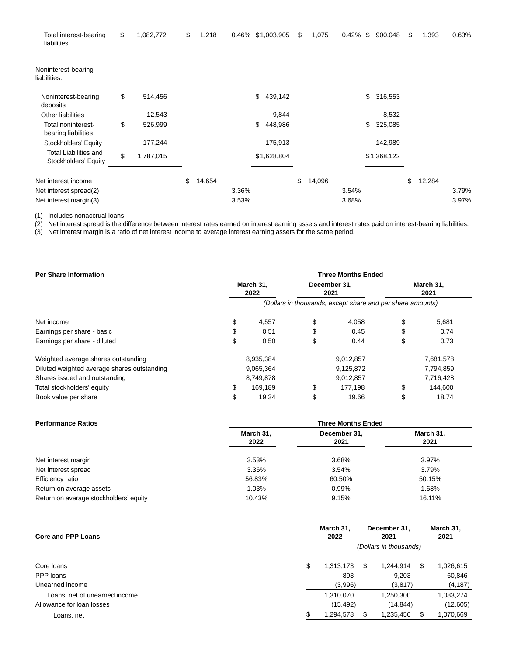| \$<br>1,082,772 | \$<br>1,218  |       |               | \$                | 1,075  |       | 900,048       | \$                | 1,393  | 0.63% |
|-----------------|--------------|-------|---------------|-------------------|--------|-------|---------------|-------------------|--------|-------|
|                 |              |       |               |                   |        |       |               |                   |        |       |
| \$<br>514,456   |              |       | \$<br>439,142 |                   |        |       | \$<br>316,553 |                   |        |       |
| 12,543          |              |       | 9,844         |                   |        |       | 8,532         |                   |        |       |
| \$<br>526,999   |              |       | 448,986<br>\$ |                   |        |       | \$<br>325,085 |                   |        |       |
| 177,244         |              |       | 175,913       |                   |        |       | 142,989       |                   |        |       |
| \$<br>1,787,015 |              |       | \$1,628,804   |                   |        |       |               |                   |        |       |
|                 | \$<br>14,654 |       |               | \$                | 14,096 |       |               | \$                | 12,284 |       |
|                 |              | 3.36% |               |                   |        | 3.54% |               |                   |        | 3.79% |
|                 |              | 3.53% |               |                   |        | 3.68% |               |                   |        | 3.97% |
|                 |              |       |               | 0.46% \$1,003,905 |        |       | 0.42%         | \$<br>\$1,368,122 |        |       |

(1) Includes nonaccrual loans.

(2) Net interest spread is the difference between interest rates earned on interest earning assets and interest rates paid on interest-bearing liabilities.

(3) Net interest margin is a ratio of net interest income to average interest earning assets for the same period.

| <b>Per Share Information</b>                | <b>Three Months Ended</b>                                  |                   |    |                      |    |                   |  |  |  |  |
|---------------------------------------------|------------------------------------------------------------|-------------------|----|----------------------|----|-------------------|--|--|--|--|
|                                             |                                                            | March 31.<br>2022 |    | December 31,<br>2021 |    | March 31,<br>2021 |  |  |  |  |
|                                             | (Dollars in thousands, except share and per share amounts) |                   |    |                      |    |                   |  |  |  |  |
| Net income                                  | \$                                                         | 4,557             | \$ | 4,058                | \$ | 5,681             |  |  |  |  |
| Earnings per share - basic                  | \$                                                         | 0.51              |    | 0.45                 |    | 0.74              |  |  |  |  |
| Earnings per share - diluted                | \$                                                         | 0.50              | \$ | 0.44                 | \$ | 0.73              |  |  |  |  |
| Weighted average shares outstanding         |                                                            | 8,935,384         |    | 9,012,857            |    | 7,681,578         |  |  |  |  |
| Diluted weighted average shares outstanding |                                                            | 9,065,364         |    | 9,125,872            |    | 7,794,859         |  |  |  |  |
| Shares issued and outstanding               |                                                            | 8,749,878         |    | 9,012,857            |    | 7,716,428         |  |  |  |  |
| Total stockholders' equity                  | \$                                                         | 169.189           | \$ | 177.198              | \$ | 144.600           |  |  |  |  |
| Book value per share                        | \$                                                         | 19.34             | \$ | 19.66                | \$ | 18.74             |  |  |  |  |

| <b>Performance Ratios</b>              | <b>Three Months Ended</b> |                      |                   |  |  |  |  |  |
|----------------------------------------|---------------------------|----------------------|-------------------|--|--|--|--|--|
|                                        | March 31,<br>2022         | December 31,<br>2021 | March 31,<br>2021 |  |  |  |  |  |
| Net interest margin                    | 3.53%                     | 3.68%                | 3.97%             |  |  |  |  |  |
| Net interest spread                    | 3.36%                     | 3.54%                | 3.79%             |  |  |  |  |  |
| Efficiency ratio                       | 56.83%                    | 60.50%               | 50.15%            |  |  |  |  |  |
| Return on average assets               | 1.03%                     | 0.99%                | 1.68%             |  |  |  |  |  |
| Return on average stockholders' equity | 10.43%                    | 9.15%                | 16.11%            |  |  |  |  |  |

| Core and PPP Loans            |                        | March 31.<br>2022 |         | December 31,<br>2021 | March 31,<br>2021 |           |  |
|-------------------------------|------------------------|-------------------|---------|----------------------|-------------------|-----------|--|
|                               | (Dollars in thousands) |                   |         |                      |                   |           |  |
| Core loans                    | \$                     | 1,313,173         | S       | 1.244.914            | \$.               | 1,026,615 |  |
| PPP loans                     |                        | 893<br>9.203      |         |                      |                   | 60,846    |  |
| Unearned income               |                        | (3,996)           | (3,817) |                      |                   | (4, 187)  |  |
| Loans, net of unearned income | 1,310,070              |                   |         | 1,250,300            |                   | 1,083,274 |  |
| Allowance for loan losses     |                        | (15,492)          |         | (14, 844)            |                   | (12,605)  |  |
| Loans, net                    |                        | 1,294,578         |         | 1,235,456            |                   | 1,070,669 |  |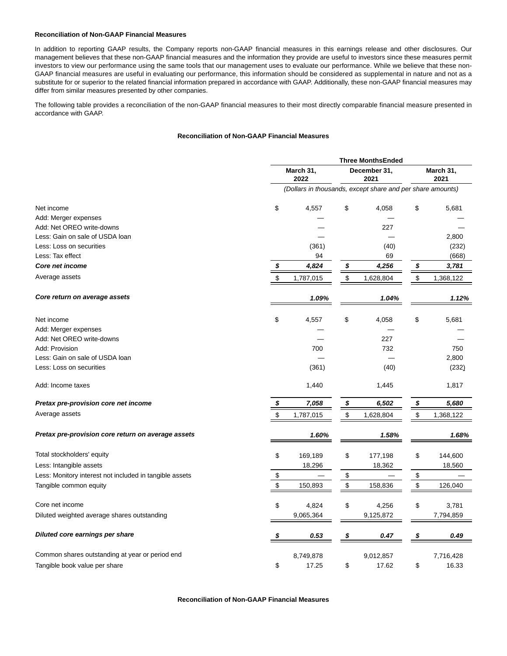#### **Reconciliation of Non-GAAP Financial Measures**

In addition to reporting GAAP results, the Company reports non-GAAP financial measures in this earnings release and other disclosures. Our management believes that these non-GAAP financial measures and the information they provide are useful to investors since these measures permit investors to view our performance using the same tools that our management uses to evaluate our performance. While we believe that these non-GAAP financial measures are useful in evaluating our performance, this information should be considered as supplemental in nature and not as a substitute for or superior to the related financial information prepared in accordance with GAAP. Additionally, these non-GAAP financial measures may differ from similar measures presented by other companies.

The following table provides a reconciliation of the non-GAAP financial measures to their most directly comparable financial measure presented in accordance with GAAP.

## **Reconciliation of Non-GAAP Financial Measures**

|                                                         |                                                            | <b>Three MonthsEnded</b> |    |                      |                   |           |  |  |  |
|---------------------------------------------------------|------------------------------------------------------------|--------------------------|----|----------------------|-------------------|-----------|--|--|--|
|                                                         |                                                            | March 31,<br>2022        |    | December 31,<br>2021 | March 31,<br>2021 |           |  |  |  |
|                                                         | (Dollars in thousands, except share and per share amounts) |                          |    |                      |                   |           |  |  |  |
| Net income                                              | \$                                                         | 4,557                    | \$ | 4,058                | \$                | 5,681     |  |  |  |
| Add: Merger expenses                                    |                                                            |                          |    |                      |                   |           |  |  |  |
| Add: Net OREO write-downs                               |                                                            |                          |    | 227                  |                   |           |  |  |  |
| Less: Gain on sale of USDA loan                         |                                                            |                          |    |                      |                   | 2,800     |  |  |  |
| Less: Loss on securities                                |                                                            | (361)                    |    | (40)                 |                   | (232)     |  |  |  |
| Less: Tax effect                                        |                                                            | 94                       |    | 69                   |                   | (668)     |  |  |  |
| <b>Core net income</b>                                  | \$                                                         | 4,824                    | \$ | 4,256                | \$                | 3,781     |  |  |  |
| Average assets                                          | \$                                                         | 1,787,015                | \$ | 1,628,804            | \$                | 1,368,122 |  |  |  |
| Core return on average assets                           |                                                            | 1.09%                    |    | 1.04%                |                   | 1.12%     |  |  |  |
| Net income                                              | \$                                                         | 4,557                    | \$ | 4,058                | \$                | 5,681     |  |  |  |
| Add: Merger expenses                                    |                                                            |                          |    |                      |                   |           |  |  |  |
| Add: Net OREO write-downs                               |                                                            |                          |    | 227                  |                   |           |  |  |  |
| Add: Provision                                          |                                                            | 700                      |    | 732                  |                   | 750       |  |  |  |
| Less: Gain on sale of USDA loan                         |                                                            |                          |    |                      |                   | 2,800     |  |  |  |
| Less: Loss on securities                                |                                                            | (361)                    |    | (40)                 |                   | (232)     |  |  |  |
| Add: Income taxes                                       |                                                            | 1,440                    |    | 1,445                |                   | 1,817     |  |  |  |
| Pretax pre-provision core net income                    | \$                                                         | 7,058                    | \$ | 6,502                | \$                | 5,680     |  |  |  |
| Average assets                                          | \$                                                         | 1,787,015                | \$ | 1,628,804            | \$                | 1,368,122 |  |  |  |
| Pretax pre-provision core return on average assets      |                                                            | 1.60%                    |    | 1.58%                |                   | 1.68%     |  |  |  |
| Total stockholders' equity                              | \$                                                         | 169,189                  | \$ | 177,198              | \$                | 144,600   |  |  |  |
| Less: Intangible assets                                 |                                                            | 18,296                   |    | 18,362               |                   | 18,560    |  |  |  |
| Less: Monitory interest not included in tangible assets | \$                                                         |                          | \$ |                      | \$                |           |  |  |  |
| Tangible common equity                                  | \$                                                         | 150,893                  | \$ | 158,836              | \$                | 126,040   |  |  |  |
| Core net income                                         | \$                                                         | 4,824                    | \$ | 4,256                | \$                | 3,781     |  |  |  |
| Diluted weighted average shares outstanding             |                                                            | 9,065,364                |    | 9,125,872            |                   | 7,794,859 |  |  |  |
| Diluted core earnings per share                         | \$                                                         | 0.53                     | \$ | 0.47                 | \$                | 0.49      |  |  |  |
| Common shares outstanding at year or period end         |                                                            | 8,749,878                |    | 9,012,857            |                   | 7,716,428 |  |  |  |
| Tangible book value per share                           | \$                                                         | 17.25                    | \$ | 17.62                | \$                | 16.33     |  |  |  |

**Reconciliation of Non-GAAP Financial Measures**